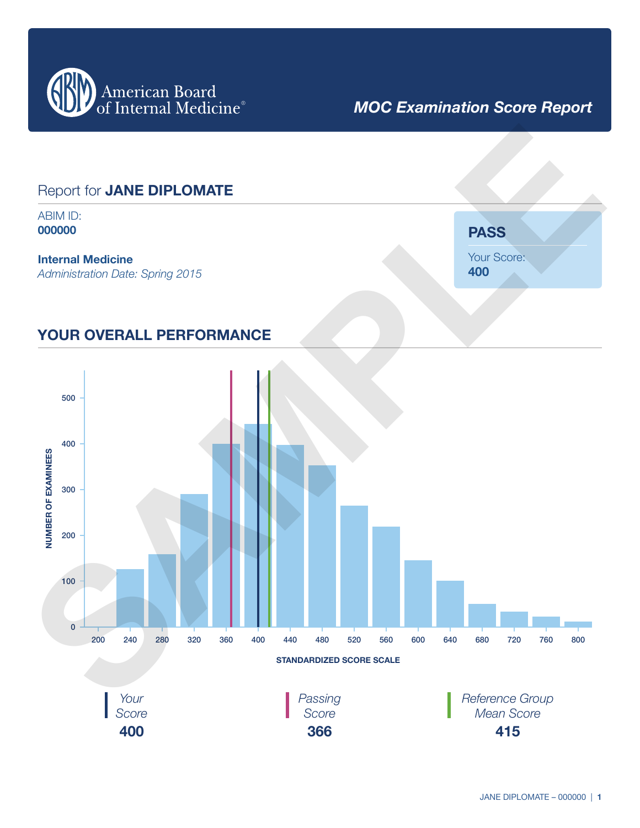

# *MOC Examination Score Report*

### Report for **JANE DIPLOMATE**

ABIM ID: **000000**

#### **Internal Medicine**

*Administration Date: Spring 2015*

**PASS** Your Score: **400**

### **YOUR OVERALL PERFORMANCE**

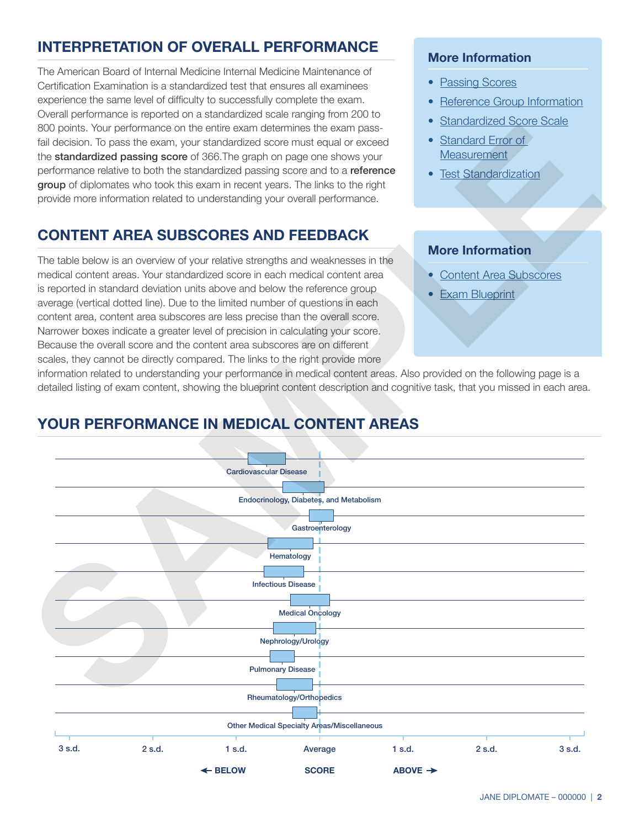## **INTERPRETATION OF OVERALL PERFORMANCE**

The American Board of Internal Medicine Internal Medicine Maintenance of Certification Examination is a standardized test that ensures all examinees experience the same level of difficulty to successfully complete the exam. Overall performance is reported on a standardized scale ranging from 200 to 800 points. Your performance on the entire exam determines the exam passfail decision. To pass the exam, your standardized score must equal or exceed the **standardized passing score** of 366. The graph on page one shows your performance relative to both the standardized passing score and to a reference group of diplomates who took this exam in recent years. The links to the right provide more information related to understanding your overall performance.

### **CONTENT AREA SUBSCORES AND FEEDBACK**

The table below is an overview of your relative strengths and weaknesses in the medical content areas. Your standardized score in each medical content area is reported in standard deviation units above and below the reference group average (vertical dotted line). Due to the limited number of questions in each content area, content area subscores are less precise than the overall score. Narrower boxes indicate a greater level of precision in calculating your score. Because the overall score and the content area subscores are on different scales, they cannot be directly compared. The links to the right provide more

#### **More Information**

- [Passing Scores](http://www.abim.org/about/examInfo/score-report.aspx#passing-scores)
- [Reference Group Information](http://www.abim.org/about/examInfo/score-report.aspx#reference-group)
- [Standardized Score Scale](http://www.abim.org/about/examInfo/score-report.aspx#score-scale)
- Standard Error of **Measurement**
- Test Standardization

#### **More Information**

- Content Area Subscores
- Exam Blueprint

information related to understanding your performance in medical content areas. Also provided on the following page is a detailed listing of exam content, showing the blueprint content description and cognitive task, that you missed in each area.



## **YOUR PERFORMANCE IN MEDICAL CONTENT AREAS**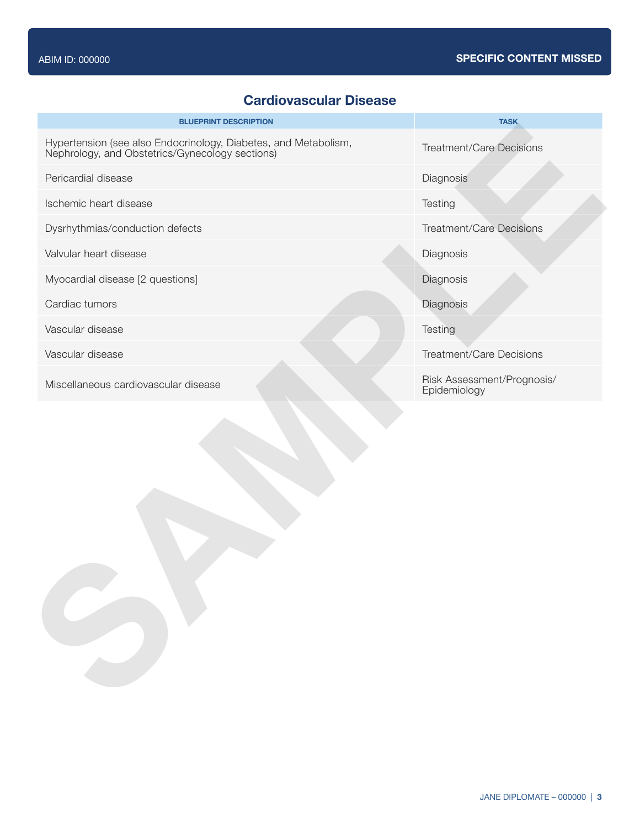### **Cardiovascular Disease**

| <b>BLUEPRINT DESCRIPTION</b>                                                                                    | <b>TASK</b>                                |
|-----------------------------------------------------------------------------------------------------------------|--------------------------------------------|
| Hypertension (see also Endocrinology, Diabetes, and Metabolism, Nephrology, and Obstetrics/Gynecology sections) | <b>Treatment/Care Decisions</b>            |
| Pericardial disease                                                                                             | Diagnosis                                  |
| Ischemic heart disease                                                                                          | Testing                                    |
| Dysrhythmias/conduction defects                                                                                 | <b>Treatment/Care Decisions</b>            |
| Valvular heart disease                                                                                          | Diagnosis                                  |
| Myocardial disease [2 questions]                                                                                | Diagnosis                                  |
| Cardiac tumors                                                                                                  | Diagnosis                                  |
| Vascular disease                                                                                                | Testing                                    |
| Vascular disease                                                                                                | <b>Treatment/Care Decisions</b>            |
| Miscellaneous cardiovascular disease                                                                            | Risk Assessment/Prognosis/<br>Epidemiology |
|                                                                                                                 |                                            |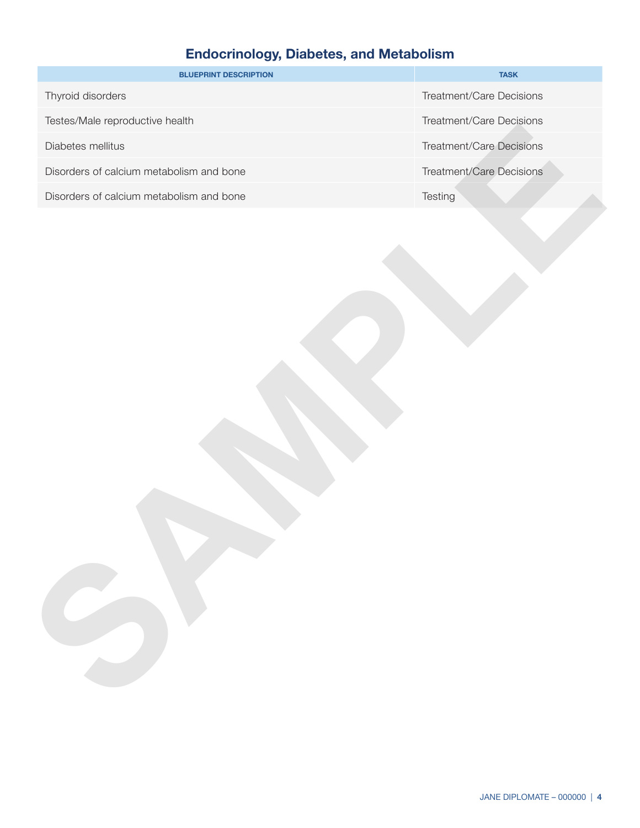# **Endocrinology, Diabetes, and Metabolism**

| <b>BLUEPRINT DESCRIPTION</b>             | <b>TASK</b>              |
|------------------------------------------|--------------------------|
| Thyroid disorders                        | Treatment/Care Decisions |
| Testes/Male reproductive health          | Treatment/Care Decisions |
| Diabetes mellitus                        | Treatment/Care Decisions |
| Disorders of calcium metabolism and bone | Treatment/Care Decisions |
| Disorders of calcium metabolism and bone | Testing                  |
|                                          |                          |